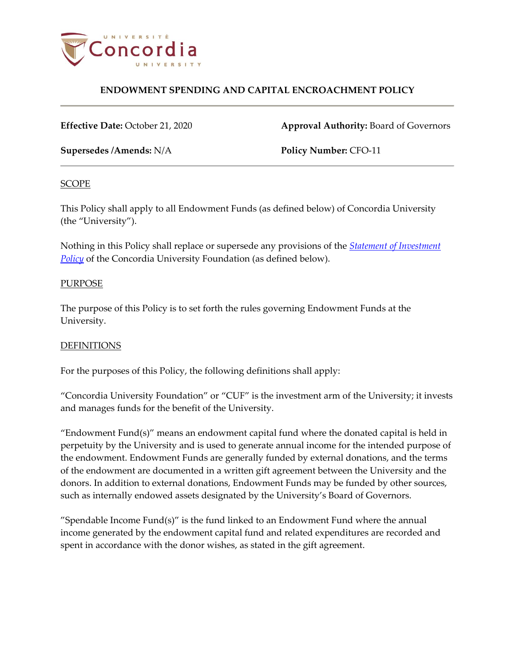

**Effective Date:** October 21, 2020 **Approval Authority:** Board of Governors

**Supersedes /Amends:** N/A **Policy Number:** CFO-11

#### **SCOPE**

This Policy shall apply to all Endowment Funds (as defined below) of Concordia University (the "University").

Nothing in this Policy shall replace or supersede any provisions of the *[Statement of Investment](https://www.concordia.ca/content/dam/concordia/services/financial/docs/CUF_Investment_Policy.pdf)*  **[Policy](https://www.concordia.ca/content/dam/concordia/services/financial/docs/CUF_Investment_Policy.pdf)** of the Concordia University Foundation (as defined below).

#### PURPOSE

The purpose of this Policy is to set forth the rules governing Endowment Funds at the University.

#### **DEFINITIONS**

For the purposes of this Policy, the following definitions shall apply:

"Concordia University Foundation" or "CUF" is the investment arm of the University; it invests and manages funds for the benefit of the University.

"Endowment Fund(s)" means an endowment capital fund where the donated capital is held in perpetuity by the University and is used to generate annual income for the intended purpose of the endowment. Endowment Funds are generally funded by external donations, and the terms of the endowment are documented in a written gift agreement between the University and the donors. In addition to external donations, Endowment Funds may be funded by other sources, such as internally endowed assets designated by the University's Board of Governors.

 $\degree$ Spendable Income Fund(s) $\degree$  is the fund linked to an Endowment Fund where the annual income generated by the endowment capital fund and related expenditures are recorded and spent in accordance with the donor wishes, as stated in the gift agreement.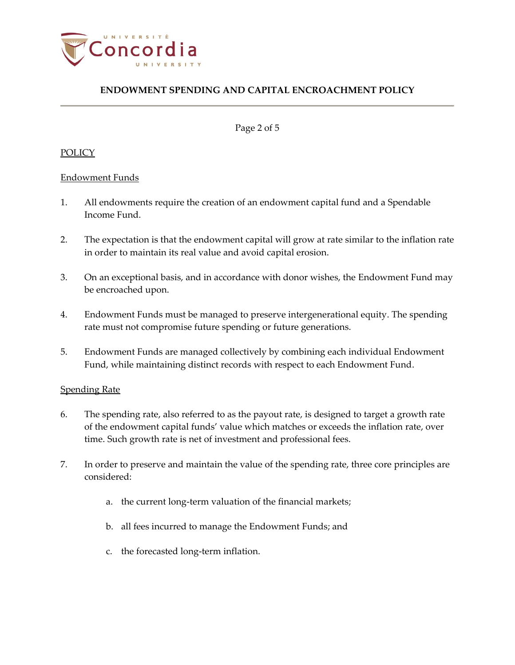

Page 2 of 5

### POLICY

#### Endowment Funds

- <span id="page-1-0"></span>1. All endowments require the creation of an endowment capital fund and a Spendable Income Fund.
- 2. The expectation is that the endowment capital will grow at rate similar to the inflation rate in order to maintain its real value and avoid capital erosion.
- 3. On an exceptional basis, and in accordance with donor wishes, the Endowment Fund may be encroached upon.
- 4. Endowment Funds must be managed to preserve intergenerational equity. The spending rate must not compromise future spending or future generations.
- 5. Endowment Funds are managed collectively by combining each individual Endowment Fund, while maintaining distinct records with respect to each Endowment Fund.

#### Spending Rate

- 6. The spending rate, also referred to as the payout rate, is designed to target a growth rate of the endowment capital funds' value which matches or exceeds the inflation rate, over time. Such growth rate is net of investment and professional fees.
- 7. In order to preserve and maintain the value of the spending rate, three core principles are considered:
	- a. the current long-term valuation of the financial markets;
	- b. all fees incurred to manage the Endowment Funds; and
	- c. the forecasted long-term inflation.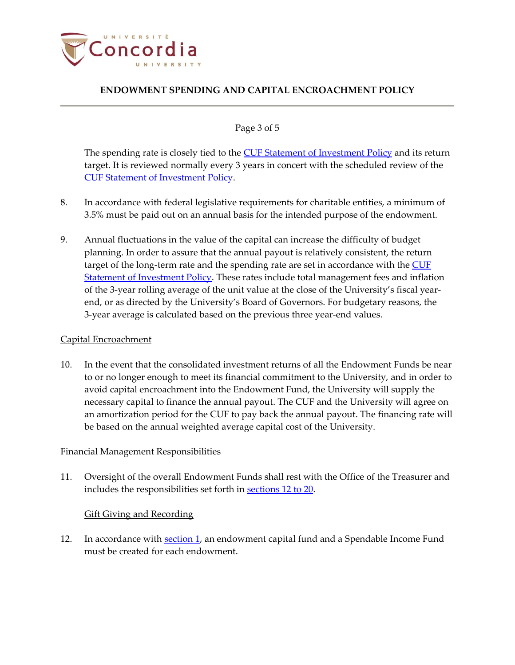

### Page 3 of 5

The spending rate is closely tied to the **CUF** [Statement of Investment Policy](https://www.concordia.ca/content/dam/concordia/services/financial/docs/CUF_Investment_Policy.pdf) and its return target. It is reviewed normally every 3 years in concert with the scheduled review of the [CUF Statement of Investment Policy.](https://www.concordia.ca/content/dam/concordia/services/financial/docs/CUF_Investment_Policy.pdf)

- 8. In accordance with federal legislative requirements for charitable entities, a minimum of 3.5% must be paid out on an annual basis for the intended purpose of the endowment.
- 9. Annual fluctuations in the value of the capital can increase the difficulty of budget planning. In order to assure that the annual payout is relatively consistent, the return target of the long-term rate and the spending rate are set in accordance with the [CUF](https://www.concordia.ca/content/dam/concordia/services/financial/docs/CUF_Investment_Policy.pdf)  [Statement of Investment Policy.](https://www.concordia.ca/content/dam/concordia/services/financial/docs/CUF_Investment_Policy.pdf) These rates include total management fees and inflation of the 3-year rolling average of the unit value at the close of the University's fiscal yearend, or as directed by the University's Board of Governors. For budgetary reasons, the 3-year average is calculated based on the previous three year-end values.

#### Capital Encroachment

10. In the event that the consolidated investment returns of all the Endowment Funds be near to or no longer enough to meet its financial commitment to the University, and in order to avoid capital encroachment into the Endowment Fund, the University will supply the necessary capital to finance the annual payout. The CUF and the University will agree on an amortization period for the CUF to pay back the annual payout. The financing rate will be based on the annual weighted average capital cost of the University.

#### Financial Management Responsibilities

11. Oversight of the overall Endowment Funds shall rest with the Office of the Treasurer and includes the responsibilities set forth in [sections 12](#page-2-0) to 20.

#### Gift Giving and Recording

<span id="page-2-0"></span>12. In accordance with [section 1,](#page-1-0) an endowment capital fund and a Spendable Income Fund must be created for each endowment.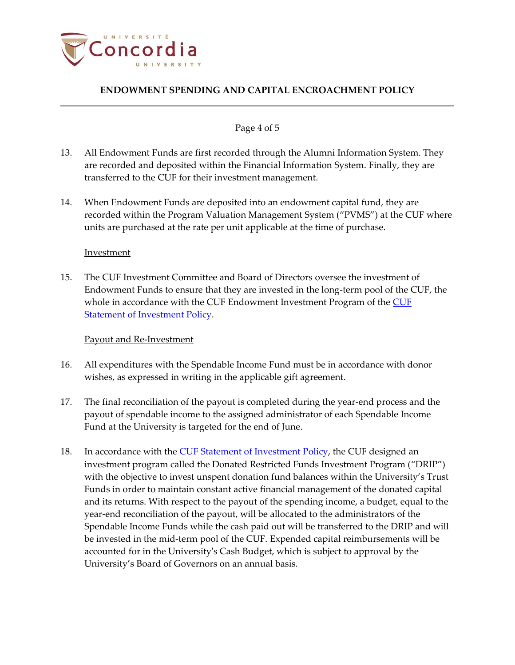

### Page 4 of 5

- 13. All Endowment Funds are first recorded through the Alumni Information System. They are recorded and deposited within the Financial Information System. Finally, they are transferred to the CUF for their investment management.
- 14. When Endowment Funds are deposited into an endowment capital fund, they are recorded within the Program Valuation Management System ("PVMS") at the CUF where units are purchased at the rate per unit applicable at the time of purchase.

#### Investment

15. The CUF Investment Committee and Board of Directors oversee the investment of Endowment Funds to ensure that they are invested in the long-term pool of the CUF, the whole in accordance with the [CUF](https://www.concordia.ca/content/dam/concordia/services/financial/docs/CUF_Investment_Policy.pdf) Endowment Investment Program of the CUF [Statement of Investment Policy.](https://www.concordia.ca/content/dam/concordia/services/financial/docs/CUF_Investment_Policy.pdf)

### Payout and Re-Investment

- 16. All expenditures with the Spendable Income Fund must be in accordance with donor wishes, as expressed in writing in the applicable gift agreement.
- <span id="page-3-0"></span>17. The final reconciliation of the payout is completed during the year-end process and the payout of spendable income to the assigned administrator of each Spendable Income Fund at the University is targeted for the end of June.
- 18. In accordance with the [CUF Statement of Investment Policy,](https://www.concordia.ca/content/dam/concordia/services/financial/docs/CUF_Investment_Policy.pdf) the CUF designed an investment program called the Donated Restricted Funds Investment Program ("DRIP") with the objective to invest unspent donation fund balances within the University's Trust Funds in order to maintain constant active financial management of the donated capital and its returns. With respect to the payout of the spending income, a budget, equal to the year-end reconciliation of the payout, will be allocated to the administrators of the Spendable Income Funds while the cash paid out will be transferred to the DRIP and will be invested in the mid-term pool of the CUF. Expended capital reimbursements will be accounted for in the University's Cash Budget, which is subject to approval by the University's Board of Governors on an annual basis.